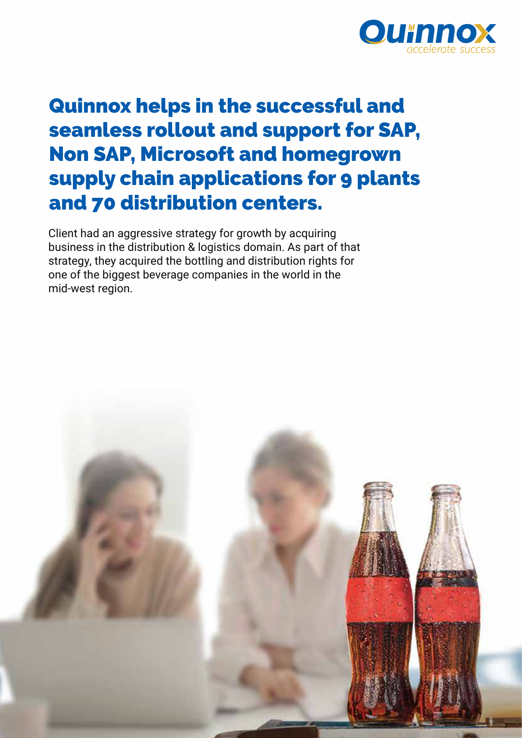

# Quinnox helps in the successful and seamless rollout and support for SAP, Non SAP, Microsoft and homegrown supply chain applications for 9 plants and 70 distribution centers.

Client had an aggressive strategy for growth by acquiring business in the distribution & logistics domain. As part of that strategy, they acquired the bottling and distribution rights for one of the biggest beverage companies in the world in the mid-west region.

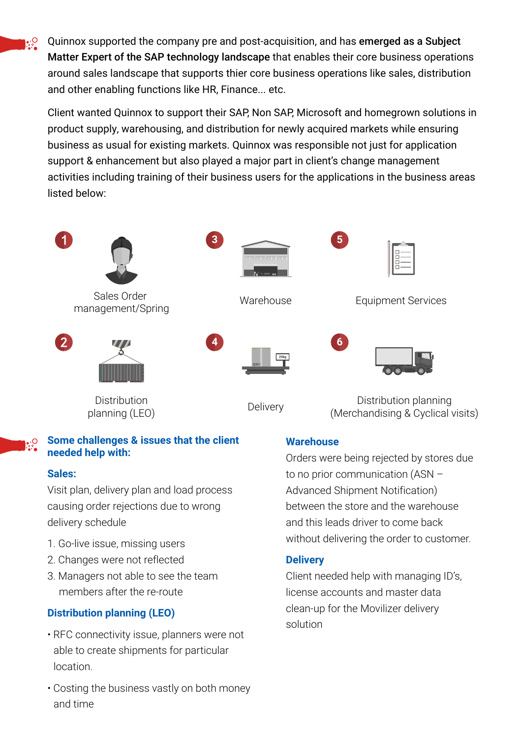Quinnox supported the company pre and post-acquisition, and has emerged as a Subject Matter Expert of the SAP technology landscape that enables their core business operations around sales landscape that supports thier core business operations like sales, distribution and other enabling functions like HR, Finance... etc.

Client wanted Quinnox to support their SAP, Non SAP, Microsoft and homegrown solutions in product supply, warehousing, and distribution for newly acquired markets while ensuring business as usual for existing markets. Quinnox was responsible not just for application support & enhancement but also played a major part in client's change management activities including training of their business users for the applications in the business areas listed below:



#### **Some challenges & issues that the client**   $\cdot \circ$ **needed help with:**

#### **Sales:**

Visit plan, delivery plan and load process causing order rejections due to wrong delivery schedule

- 1. Go-live issue, missing users
- 2. Changes were not reflected
- 3. Managers not able to see the team members after the re-route

## **Distribution planning (LEO)**

- RFC connectivity issue, planners were not able to create shipments for particular location.
- Costing the business vastly on both money and time

### **Warehouse**

Orders were being rejected by stores due to no prior communication (ASN – Advanced Shipment Notification) between the store and the warehouse and this leads driver to come back without delivering the order to customer.

#### **Delivery**

Client needed help with managing ID's, license accounts and master data clean-up for the Movilizer delivery solution

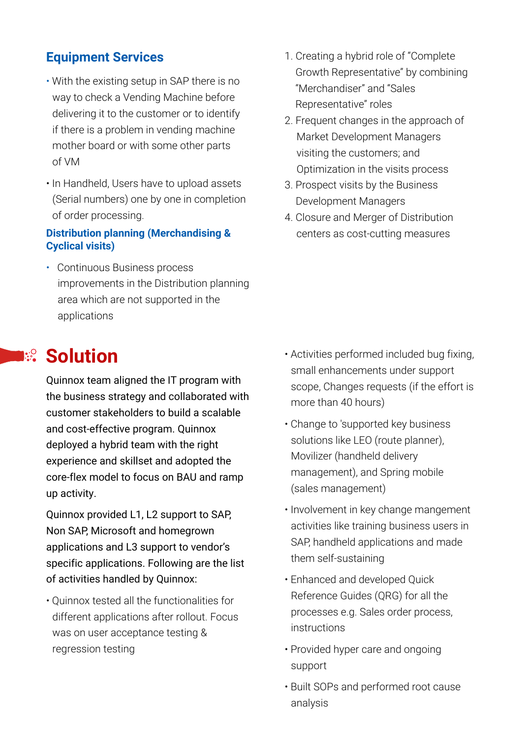## **Equipment Services**

- With the existing setup in SAP there is no way to check a Vending Machine before delivering it to the customer or to identify if there is a problem in vending machine mother board or with some other parts of VM
- In Handheld, Users have to upload assets (Serial numbers) one by one in completion of order processing.

#### **Distribution planning (Merchandising & Cyclical visits)**

• Continuous Business process improvements in the Distribution planning area which are not supported in the applications

# **I:** Solution

Quinnox team aligned the IT program with the business strategy and collaborated with customer stakeholders to build a scalable and cost-effective program. Quinnox deployed a hybrid team with the right experience and skillset and adopted the core-flex model to focus on BAU and ramp up activity.

Quinnox provided L1, L2 support to SAP, Non SAP, Microsoft and homegrown applications and L3 support to vendor's specific applications. Following are the list of activities handled by Quinnox:

• Quinnox tested all the functionalities for different applications after rollout. Focus was on user acceptance testing & regression testing

- 1. Creating a hybrid role of "Complete Growth Representative" by combining "Merchandiser" and "Sales Representative" roles
- 2. Frequent changes in the approach of Market Development Managers visiting the customers; and Optimization in the visits process
- 3. Prospect visits by the Business Development Managers
- 4. Closure and Merger of Distribution centers as cost-cutting measures

- Activities performed included bug fixing, small enhancements under support scope, Changes requests (if the effort is more than 40 hours)
- Change to 'supported key business solutions like LEO (route planner), Movilizer (handheld delivery management), and Spring mobile (sales management)
- Involvement in key change mangement activities like training business users in SAP, handheld applications and made them self-sustaining
- Enhanced and developed Quick Reference Guides (QRG) for all the processes e.g. Sales order process, instructions
- Provided hyper care and ongoing support
- Built SOPs and performed root cause analysis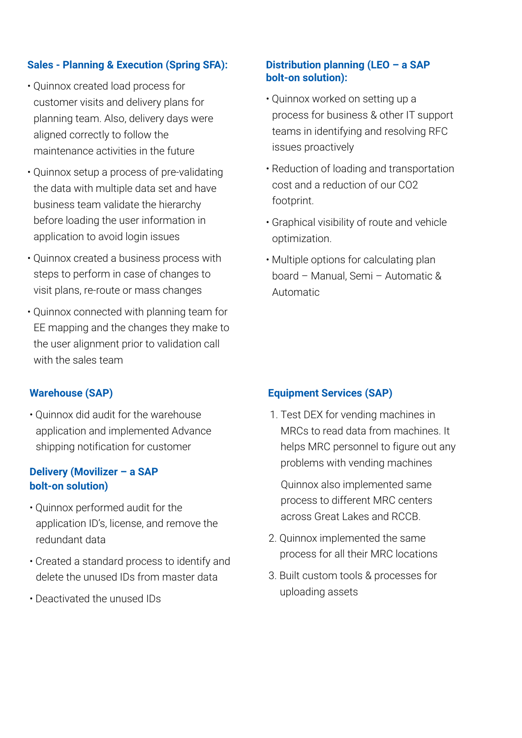#### **Sales - Planning & Execution (Spring SFA):**

- Quinnox created load process for customer visits and delivery plans for planning team. Also, delivery days were aligned correctly to follow the maintenance activities in the future
- Quinnox setup a process of pre-validating the data with multiple data set and have business team validate the hierarchy before loading the user information in application to avoid login issues
- Quinnox created a business process with steps to perform in case of changes to visit plans, re-route or mass changes
- Quinnox connected with planning team for EE mapping and the changes they make to the user alignment prior to validation call with the sales team

#### **Warehouse (SAP)**

• Quinnox did audit for the warehouse application and implemented Advance shipping notification for customer

#### **Delivery (Movilizer – a SAP bolt-on solution)**

- Quinnox performed audit for the application ID's, license, and remove the redundant data
- Created a standard process to identify and delete the unused IDs from master data
- Deactivated the unused IDs

#### **Distribution planning (LEO – a SAP bolt-on solution):**

- Quinnox worked on setting up a process for business & other IT support teams in identifying and resolving RFC issues proactively
- Reduction of loading and transportation cost and a reduction of our CO2 footprint.
- Graphical visibility of route and vehicle optimization.
- Multiple options for calculating plan board – Manual, Semi – Automatic & Automatic

#### **Equipment Services (SAP)**

1. Test DEX for vending machines in MRCs to read data from machines. It helps MRC personnel to figure out any problems with vending machines

Quinnox also implemented same process to different MRC centers across Great Lakes and RCCB.

- 2. Quinnox implemented the same process for all their MRC locations
- 3. Built custom tools & processes for uploading assets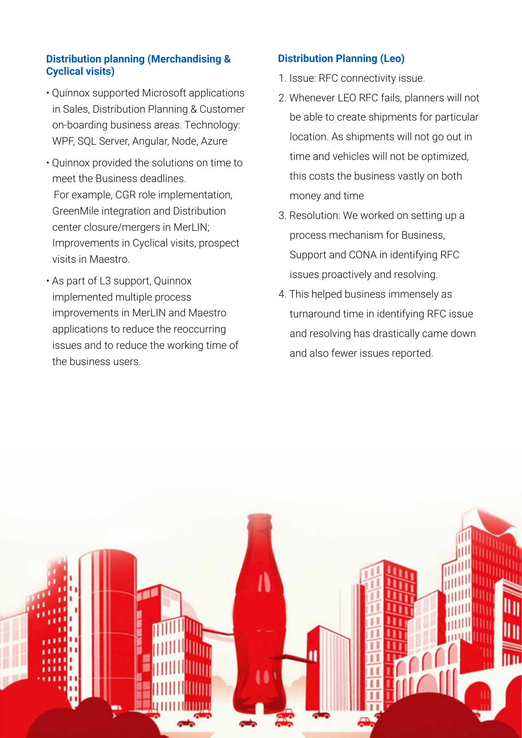#### **Distribution planning (Merchandising & Cyclical visits)**

- Quinnox supported Microsoft applications in Sales, Distribution Planning & Customer on-boarding business areas. Technology: WPF, SQL Server, Angular, Node, Azure
- Quinnox provided the solutions on time to meet the Business deadlines. For example, CGR role implementation, GreenMile integration and Distribution center closure/mergers in MerLIN; Improvements in Cyclical visits, prospect visits in Maestro.
- As part of L3 support, Quinnox implemented multiple process improvements in MerLIN and Maestro applications to reduce the reoccurring issues and to reduce the working time of the business users.

### **Distribution Planning (Leo)**

- 1. Issue: RFC connectivity issue.
- 2. Whenever LEO RFC fails, planners will not be able to create shipments for particular location. As shipments will not go out in time and vehicles will not be optimized, this costs the business vastly on both money and time
- 3. Resolution: We worked on setting up a process mechanism for Business, Support and CONA in identifying RFC issues proactively and resolving.
- 4. This helped business immensely as turnaround time in identifying RFC issue and resolving has drastically came down and also fewer issues reported.

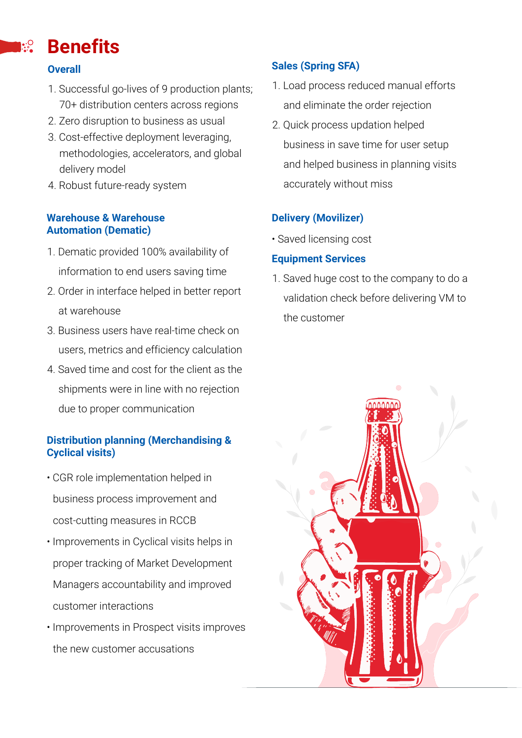#### **Benefits**  $\mathbf{R}^{\bullet}$

#### **Overall**

- 1. Successful go-lives of 9 production plants; 70+ distribution centers across regions
- 2. Zero disruption to business as usual
- 3. Cost-effective deployment leveraging, methodologies, accelerators, and global delivery model
- 4. Robust future-ready system

#### **Warehouse & Warehouse Automation (Dematic)**

- 1. Dematic provided 100% availability of information to end users saving time
- 2. Order in interface helped in better report at warehouse
- 3. Business users have real-time check on users, metrics and efficiency calculation
- 4. Saved time and cost for the client as the shipments were in line with no rejection due to proper communication

#### **Distribution planning (Merchandising & Cyclical visits)**

- CGR role implementation helped in business process improvement and cost-cutting measures in RCCB
- Improvements in Cyclical visits helps in proper tracking of Market Development Managers accountability and improved customer interactions
- Improvements in Prospect visits improves the new customer accusations

## **Sales (Spring SFA)**

- 1. Load process reduced manual efforts and eliminate the order rejection
- 2. Quick process updation helped business in save time for user setup and helped business in planning visits accurately without miss

### **Delivery (Movilizer)**

• Saved licensing cost

#### **Equipment Services**

1. Saved huge cost to the company to do a validation check before delivering VM to the customer